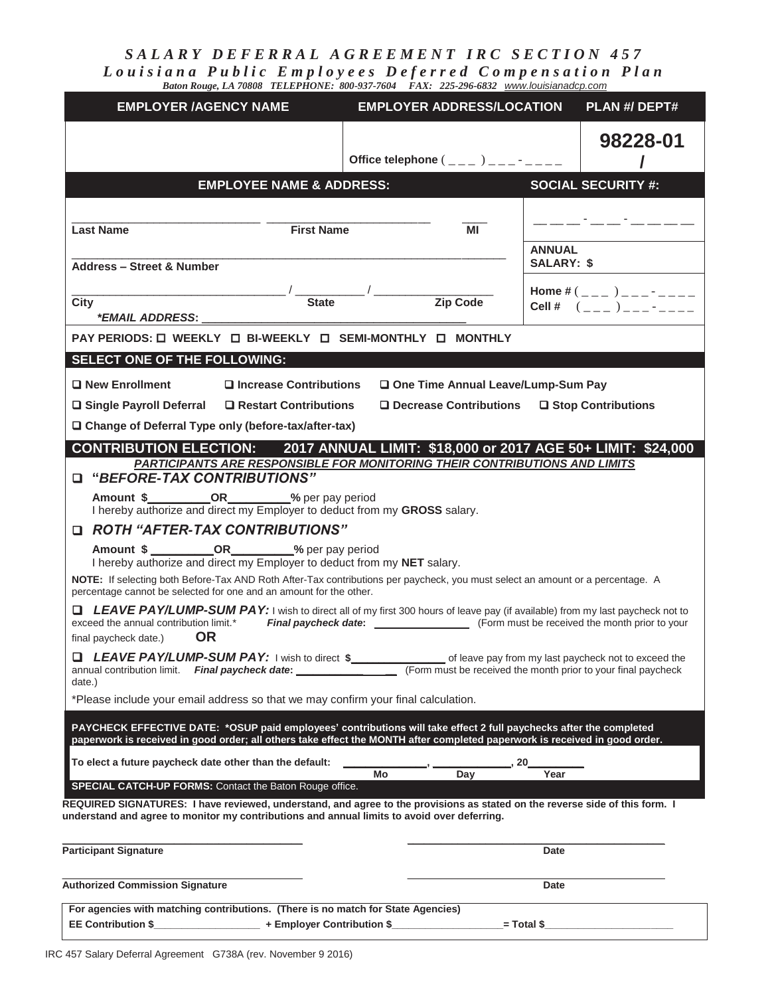*SALARY DEFERRAL AGREEMENT IRC SECTION 457 Louisiana Public Employees Deferred Compensation Plan Baton Rouge, LA 70808 TELEPHONE: 800-937-7604 FAX: 225-296-6832 www.louisianadcp.com*

| <b>EMPLOYER /AGENCY NAME</b>                                                                                                                                                                                                                                                                                                                                               | <b>EMPLOYER ADDRESS/LOCATION</b>                              |                                    | PLAN #/ DEPT#                                                                                                                                                                                                                                                       |
|----------------------------------------------------------------------------------------------------------------------------------------------------------------------------------------------------------------------------------------------------------------------------------------------------------------------------------------------------------------------------|---------------------------------------------------------------|------------------------------------|---------------------------------------------------------------------------------------------------------------------------------------------------------------------------------------------------------------------------------------------------------------------|
|                                                                                                                                                                                                                                                                                                                                                                            |                                                               |                                    | 98228-01                                                                                                                                                                                                                                                            |
| <b>EMPLOYEE NAME &amp; ADDRESS:</b>                                                                                                                                                                                                                                                                                                                                        |                                                               |                                    | <b>SOCIAL SECURITY #:</b>                                                                                                                                                                                                                                           |
| <b>First Name</b><br><b>Last Name</b>                                                                                                                                                                                                                                                                                                                                      | ΜI                                                            |                                    |                                                                                                                                                                                                                                                                     |
| <b>Address - Street &amp; Number</b>                                                                                                                                                                                                                                                                                                                                       |                                                               | <b>ANNUAL</b><br><b>SALARY: \$</b> |                                                                                                                                                                                                                                                                     |
| <b>State</b><br>City<br>*EMAIL ADDRESS:                                                                                                                                                                                                                                                                                                                                    | Zip Code                                                      |                                    | Home # $($ $($ $)$ $)$ $       -$<br>Cell # $($ $($ $)$ $)$ $($ $)$ $($ $)$ $($ $)$ $($ $)$ $($ $)$ $($ $)$ $($ $)$ $($ $)$ $($ $)$ $($ $)$ $($ $)$ $($ $)$ $($ $)$ $($ $)$ $($ $)$ $($ $)$ $($ $)$ $($ $)$ $($ $)$ $($ $)$ $($ $)$ $($ $)$ $($ $)$ $($ $)$ $($ $)$ |
| PAY PERIODS: 0 WEEKLY 0 BI-WEEKLY 0 SEMI-MONTHLY 0 MONTHLY                                                                                                                                                                                                                                                                                                                 |                                                               |                                    |                                                                                                                                                                                                                                                                     |
| SELECT ONE OF THE FOLLOWING:                                                                                                                                                                                                                                                                                                                                               |                                                               |                                    |                                                                                                                                                                                                                                                                     |
| □ New Enrollment<br>□ Increase Contributions                                                                                                                                                                                                                                                                                                                               | One Time Annual Leave/Lump-Sum Pay                            |                                    |                                                                                                                                                                                                                                                                     |
| $\Box$ Decrease Contributions $\Box$ Stop Contributions<br>$\Box$ Single Payroll Deferral $\Box$ Restart Contributions                                                                                                                                                                                                                                                     |                                                               |                                    |                                                                                                                                                                                                                                                                     |
| □ Change of Deferral Type only (before-tax/after-tax)                                                                                                                                                                                                                                                                                                                      |                                                               |                                    |                                                                                                                                                                                                                                                                     |
| CONTRIBUTION ELECTION: 2017 ANNUAL LIMIT: \$18,000 or 2017 AGE 50+ LIMIT: \$24,000<br>PARTICIPANTS ARE RESPONSIBLE FOR MONITORING THEIR CONTRIBUTIONS AND LIMITS<br>"BEFORE-TAX CONTRIBUTIONS"<br>Amount \$______________________________% per pay period<br>I hereby authorize and direct my Employer to deduct from my GROSS salary.<br>□ ROTH "AFTER-TAX CONTRIBUTIONS" |                                                               |                                    |                                                                                                                                                                                                                                                                     |
| Amount \$ ____________________________% per pay period<br>I hereby authorize and direct my Employer to deduct from my NET salary.                                                                                                                                                                                                                                          |                                                               |                                    |                                                                                                                                                                                                                                                                     |
| NOTE: If selecting both Before-Tax AND Roth After-Tax contributions per paycheck, you must select an amount or a percentage. A<br>percentage cannot be selected for one and an amount for the other.                                                                                                                                                                       |                                                               |                                    |                                                                                                                                                                                                                                                                     |
| LEAVE PAY/LUMP-SUM PAY: I wish to direct all of my first 300 hours of leave pay (if available) from my last paycheck not to<br>exceed the annual contribution limit.*<br><b>OR</b><br>final paycheck date.)                                                                                                                                                                |                                                               |                                    |                                                                                                                                                                                                                                                                     |
| LEAVE PAY/LUMP-SUM PAY: I wish to direct \$<br>annual contribution limit. Final paycheck date:<br>date.)                                                                                                                                                                                                                                                                   | (Form must be received the month prior to your final paycheck |                                    | of leave pay from my last paycheck not to exceed the                                                                                                                                                                                                                |
| *Please include your email address so that we may confirm your final calculation.                                                                                                                                                                                                                                                                                          |                                                               |                                    |                                                                                                                                                                                                                                                                     |
| PAYCHECK EFFECTIVE DATE: * OSUP paid employees' contributions will take effect 2 full paychecks after the completed<br>paperwork is received in good order; all others take effect the MONTH after completed paperwork is received in good order.                                                                                                                          |                                                               |                                    |                                                                                                                                                                                                                                                                     |
| To elect a future paycheck date other than the default:                                                                                                                                                                                                                                                                                                                    | Mo<br>Day                                                     | 20<br>Year                         |                                                                                                                                                                                                                                                                     |
| SPECIAL CATCH-UP FORMS: Contact the Baton Rouge office.                                                                                                                                                                                                                                                                                                                    |                                                               |                                    |                                                                                                                                                                                                                                                                     |
| REQUIRED SIGNATURES: I have reviewed, understand, and agree to the provisions as stated on the reverse side of this form. I<br>understand and agree to monitor my contributions and annual limits to avoid over deferring.                                                                                                                                                 |                                                               |                                    |                                                                                                                                                                                                                                                                     |
| <b>Participant Signature</b>                                                                                                                                                                                                                                                                                                                                               |                                                               | <b>Date</b>                        |                                                                                                                                                                                                                                                                     |
| <b>Authorized Commission Signature</b>                                                                                                                                                                                                                                                                                                                                     |                                                               | Date                               |                                                                                                                                                                                                                                                                     |
| For agencies with matching contributions. (There is no match for State Agencies)<br><b>EE Contribution \$</b><br>+ Employer Contribution \$                                                                                                                                                                                                                                |                                                               | = Total \$                         |                                                                                                                                                                                                                                                                     |
|                                                                                                                                                                                                                                                                                                                                                                            |                                                               |                                    |                                                                                                                                                                                                                                                                     |